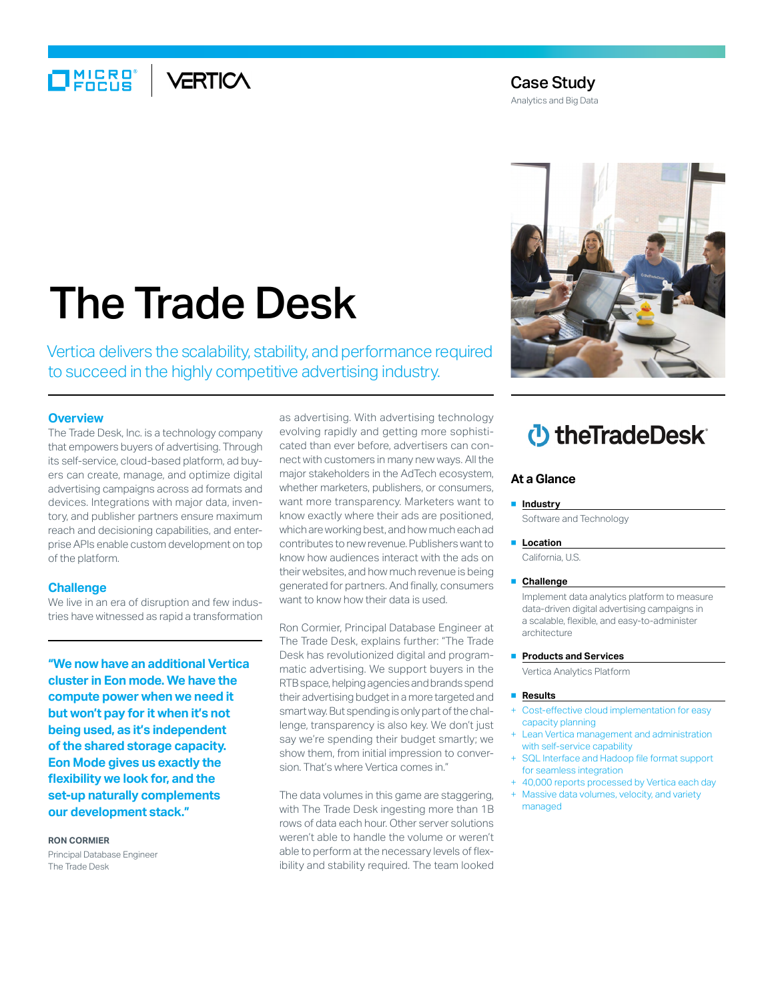## $\Box$ MIERO VERTICA

### Case Study

Analytics and Big Data

# The Trade Desk

Vertica delivers the scalability, stability, and performance required to succeed in the highly competitive advertising industry.

#### **Overview**

The Trade Desk, Inc. is a technology company that empowers buyers of advertising. Through its self-service, cloud-based platform, ad buyers can create, manage, and optimize digital advertising campaigns across ad formats and devices. Integrations with major data, inventory, and publisher partners ensure maximum reach and decisioning capabilities, and enterprise APIs enable custom development on top of the platform.

#### **Challenge**

We live in an era of disruption and few industries have witnessed as rapid a transformation

**"We now have an additional Vertica cluster in Eon mode. We have the compute power when we need it but won't pay for it when it's not being used, as it's independent of the shared storage capacity. Eon Mode gives us exactly the flexibility we look for, and the set-up naturally complements our development stack."**

#### **Ron Cormier**

Principal Database Engineer The Trade Desk

as advertising. With advertising technology evolving rapidly and getting more sophisticated than ever before, advertisers can connect with customers in many new ways. All the major stakeholders in the AdTech ecosystem, whether marketers, publishers, or consumers, want more transparency. Marketers want to know exactly where their ads are positioned, which are working best, and how much each ad contributes to new revenue. Publishers want to know how audiences interact with the ads on their websites, and how much revenue is being generated for partners. And finally, consumers want to know how their data is used.

Ron Cormier, Principal Database Engineer at The Trade Desk, explains further: "The Trade Desk has revolutionized digital and programmatic advertising. We support buyers in the RTB space, helping agencies and brands spend their advertising budget in a more targeted and smart way. But spending is only part of the challenge, transparency is also key. We don't just say we're spending their budget smartly; we show them, from initial impression to conversion. That's where Vertica comes in."

The data volumes in this game are staggering, with The Trade Desk ingesting more than 1B rows of data each hour. Other server solutions weren't able to handle the volume or weren't able to perform at the necessary levels of flexibility and stability required. The team looked



## *D* the Trade Desk

#### **At a Glance**

#### ■ **Industry**

Software and Technology

#### ■ **Location**

California, U.S.

#### ■ **Challenge**

Implement data analytics platform to measure data-driven digital advertising campaigns in a scalable, flexible, and easy-to-administer architecture

#### ■ **Products and Services**

Vertica Analytics Platform

#### ■ **Results**

- Cost-effective cloud implementation for easy capacity planning
- Lean Vertica management and administration with self-service capability
- SQL Interface and Hadoop file format support for seamless integration
- + 40,000 reports processed by Vertica each day
- Massive data volumes, velocity, and variety managed